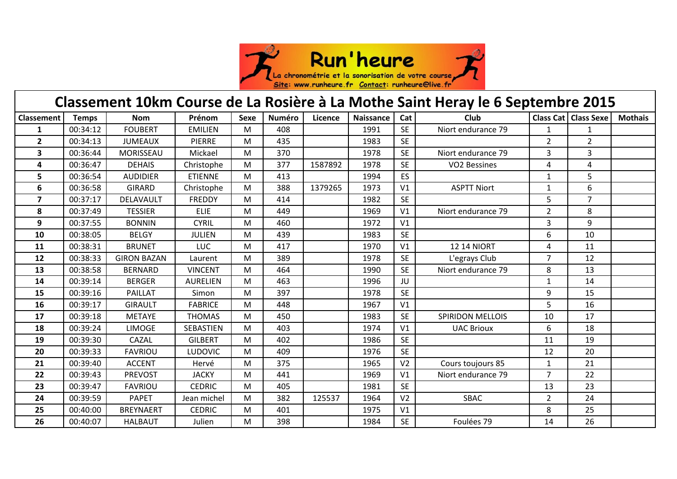

| Classement 10km Course de La Rosière à La Mothe Saint Heray le 6 Septembre 2015 |              |                    |                 |             |               |         |                  |                |                         |                |                        |                |  |
|---------------------------------------------------------------------------------|--------------|--------------------|-----------------|-------------|---------------|---------|------------------|----------------|-------------------------|----------------|------------------------|----------------|--|
| Classement                                                                      | <b>Temps</b> | <b>Nom</b>         | Prénom          | <b>Sexe</b> | <b>Numéro</b> | Licence | <b>Naissance</b> | Cat            | Club                    |                | Class Cat   Class Sexe | <b>Mothais</b> |  |
| 1                                                                               | 00:34:12     | <b>FOUBERT</b>     | <b>EMILIEN</b>  | M           | 408           |         | 1991             | <b>SE</b>      | Niort endurance 79      | 1              | $\mathbf{1}$           |                |  |
| $\overline{2}$                                                                  | 00:34:13     | <b>JUMEAUX</b>     | <b>PIERRE</b>   | M           | 435           |         | 1983             | <b>SE</b>      |                         | $\overline{2}$ | $\overline{2}$         |                |  |
| 3                                                                               | 00:36:44     | MORISSEAU          | Mickael         | M           | 370           |         | 1978             | <b>SE</b>      | Niort endurance 79      | 3              | $\overline{3}$         |                |  |
| 4                                                                               | 00:36:47     | <b>DEHAIS</b>      | Christophe      | M           | 377           | 1587892 | 1978             | <b>SE</b>      | <b>VO2 Bessines</b>     | 4              | 4                      |                |  |
| 5                                                                               | 00:36:54     | <b>AUDIDIER</b>    | <b>ETIENNE</b>  | M           | 413           |         | 1994             | ES             |                         | 1              | 5                      |                |  |
| 6                                                                               | 00:36:58     | <b>GIRARD</b>      | Christophe      | M           | 388           | 1379265 | 1973             | V <sub>1</sub> | <b>ASPTT Niort</b>      | 1              | 6                      |                |  |
| $\overline{7}$                                                                  | 00:37:17     | DELAVAULT          | <b>FREDDY</b>   | M           | 414           |         | 1982             | <b>SE</b>      |                         | 5              | $\overline{7}$         |                |  |
| 8                                                                               | 00:37:49     | <b>TESSIER</b>     | <b>ELIE</b>     | M           | 449           |         | 1969             | V <sub>1</sub> | Niort endurance 79      | $\overline{2}$ | 8                      |                |  |
| 9                                                                               | 00:37:55     | <b>BONNIN</b>      | <b>CYRIL</b>    | M           | 460           |         | 1972             | V <sub>1</sub> |                         | 3              | 9                      |                |  |
| 10                                                                              | 00:38:05     | <b>BELGY</b>       | <b>JULIEN</b>   | M           | 439           |         | 1983             | <b>SE</b>      |                         | 6              | 10                     |                |  |
| 11                                                                              | 00:38:31     | <b>BRUNET</b>      | <b>LUC</b>      | M           | 417           |         | 1970             | V <sub>1</sub> | <b>12 14 NIORT</b>      | 4              | 11                     |                |  |
| 12                                                                              | 00:38:33     | <b>GIRON BAZAN</b> | Laurent         | M           | 389           |         | 1978             | <b>SE</b>      | L'egrays Club           | $\overline{7}$ | 12                     |                |  |
| 13                                                                              | 00:38:58     | <b>BERNARD</b>     | <b>VINCENT</b>  | M           | 464           |         | 1990             | <b>SE</b>      | Niort endurance 79      | 8              | 13                     |                |  |
| 14                                                                              | 00:39:14     | <b>BERGER</b>      | <b>AURELIEN</b> | M           | 463           |         | 1996             | JU             |                         | $\mathbf{1}$   | 14                     |                |  |
| 15                                                                              | 00:39:16     | PAILLAT            | Simon           | M           | 397           |         | 1978             | <b>SE</b>      |                         | 9              | 15                     |                |  |
| 16                                                                              | 00:39:17     | <b>GIRAULT</b>     | <b>FABRICE</b>  | M           | 448           |         | 1967             | V <sub>1</sub> |                         | 5              | 16                     |                |  |
| 17                                                                              | 00:39:18     | <b>METAYE</b>      | <b>THOMAS</b>   | M           | 450           |         | 1983             | <b>SE</b>      | <b>SPIRIDON MELLOIS</b> | 10             | 17                     |                |  |
| 18                                                                              | 00:39:24     | <b>LIMOGE</b>      | SEBASTIEN       | M           | 403           |         | 1974             | V <sub>1</sub> | <b>UAC Brioux</b>       | 6              | 18                     |                |  |
| 19                                                                              | 00:39:30     | CAZAL              | <b>GILBERT</b>  | M           | 402           |         | 1986             | <b>SE</b>      |                         | 11             | 19                     |                |  |
| 20                                                                              | 00:39:33     | <b>FAVRIOU</b>     | <b>LUDOVIC</b>  | M           | 409           |         | 1976             | <b>SE</b>      |                         | 12             | 20                     |                |  |
| 21                                                                              | 00:39:40     | <b>ACCENT</b>      | Hervé           | М           | 375           |         | 1965             | V <sub>2</sub> | Cours toujours 85       | 1              | 21                     |                |  |
| 22                                                                              | 00:39:43     | <b>PREVOST</b>     | <b>JACKY</b>    | М           | 441           |         | 1969             | V <sub>1</sub> | Niort endurance 79      | 7              | 22                     |                |  |
| 23                                                                              | 00:39:47     | <b>FAVRIOU</b>     | <b>CEDRIC</b>   | M           | 405           |         | 1981             | <b>SE</b>      |                         | 13             | 23                     |                |  |
| 24                                                                              | 00:39:59     | <b>PAPET</b>       | Jean michel     | M           | 382           | 125537  | 1964             | V <sub>2</sub> | <b>SBAC</b>             | $\overline{2}$ | 24                     |                |  |
| 25                                                                              | 00:40:00     | <b>BREYNAERT</b>   | <b>CEDRIC</b>   | M           | 401           |         | 1975             | V <sub>1</sub> |                         | 8              | 25                     |                |  |
| 26                                                                              | 00:40:07     | <b>HALBAUT</b>     | Julien          | м           | 398           |         | 1984             | <b>SE</b>      | Foulées 79              | 14             | 26                     |                |  |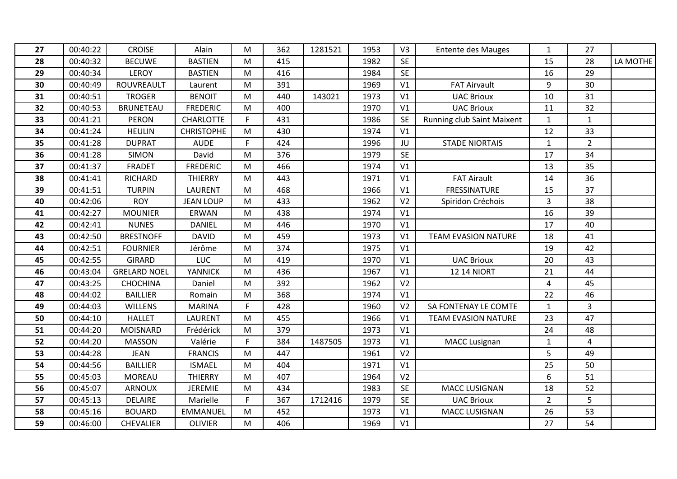| 27 | 00:40:22 | <b>CROISE</b>       | Alain             | м  | 362 | 1281521 | 1953 | V <sub>3</sub> | <b>Entente des Mauges</b>  | 1              | 27             |          |
|----|----------|---------------------|-------------------|----|-----|---------|------|----------------|----------------------------|----------------|----------------|----------|
| 28 | 00:40:32 | <b>BECUWE</b>       | <b>BASTIEN</b>    | M  | 415 |         | 1982 | <b>SE</b>      |                            | 15             | 28             | LA MOTHE |
| 29 | 00:40:34 | <b>LEROY</b>        | <b>BASTIEN</b>    | М  | 416 |         | 1984 | <b>SE</b>      |                            | 16             | 29             |          |
| 30 | 00:40:49 | ROUVREAULT          | Laurent           | M  | 391 |         | 1969 | V <sub>1</sub> | <b>FAT Airvault</b>        | 9              | 30             |          |
| 31 | 00:40:51 | <b>TROGER</b>       | <b>BENOIT</b>     | M  | 440 | 143021  | 1973 | V <sub>1</sub> | <b>UAC Brioux</b>          | 10             | 31             |          |
| 32 | 00:40:53 | <b>BRUNETEAU</b>    | <b>FREDERIC</b>   | M  | 400 |         | 1970 | V <sub>1</sub> | <b>UAC Brioux</b>          | 11             | 32             |          |
| 33 | 00:41:21 | <b>PERON</b>        | <b>CHARLOTTE</b>  | F. | 431 |         | 1986 | <b>SE</b>      | Running club Saint Maixent | $\mathbf{1}$   | $\mathbf{1}$   |          |
| 34 | 00:41:24 | <b>HEULIN</b>       | <b>CHRISTOPHE</b> | M  | 430 |         | 1974 | V <sub>1</sub> |                            | 12             | 33             |          |
| 35 | 00:41:28 | <b>DUPRAT</b>       | <b>AUDE</b>       | F. | 424 |         | 1996 | JU             | <b>STADE NIORTAIS</b>      | $\mathbf{1}$   | $2^{\circ}$    |          |
| 36 | 00:41:28 | <b>SIMON</b>        | David             | M  | 376 |         | 1979 | <b>SE</b>      |                            | 17             | 34             |          |
| 37 | 00:41:37 | <b>FRADET</b>       | <b>FREDERIC</b>   | M  | 466 |         | 1974 | V <sub>1</sub> |                            | 13             | 35             |          |
| 38 | 00:41:41 | RICHARD             | <b>THIERRY</b>    | M  | 443 |         | 1971 | V1             | <b>FAT Airault</b>         | 14             | 36             |          |
| 39 | 00:41:51 | <b>TURPIN</b>       | <b>LAURENT</b>    | М  | 468 |         | 1966 | V <sub>1</sub> | <b>FRESSINATURE</b>        | 15             | 37             |          |
| 40 | 00:42:06 | <b>ROY</b>          | <b>JEAN LOUP</b>  | M  | 433 |         | 1962 | V <sub>2</sub> | Spiridon Créchois          | $\overline{3}$ | 38             |          |
| 41 | 00:42:27 | <b>MOUNIER</b>      | ERWAN             | M  | 438 |         | 1974 | V <sub>1</sub> |                            | 16             | 39             |          |
| 42 | 00:42:41 | <b>NUNES</b>        | <b>DANIEL</b>     | M  | 446 |         | 1970 | V1             |                            | 17             | 40             |          |
| 43 | 00:42:50 | <b>BRESTNOFF</b>    | <b>DAVID</b>      | M  | 459 |         | 1973 | V <sub>1</sub> | <b>TEAM EVASION NATURE</b> | 18             | 41             |          |
| 44 | 00:42:51 | <b>FOURNIER</b>     | Jérôme            | M  | 374 |         | 1975 | V <sub>1</sub> |                            | 19             | 42             |          |
| 45 | 00:42:55 | <b>GIRARD</b>       | <b>LUC</b>        | M  | 419 |         | 1970 | V <sub>1</sub> | <b>UAC Brioux</b>          | 20             | 43             |          |
| 46 | 00:43:04 | <b>GRELARD NOEL</b> | YANNICK           | M  | 436 |         | 1967 | V <sub>1</sub> | <b>12 14 NIORT</b>         | 21             | 44             |          |
| 47 | 00:43:25 | <b>CHOCHINA</b>     | Daniel            | м  | 392 |         | 1962 | V <sub>2</sub> |                            | 4              | 45             |          |
| 48 | 00:44:02 | <b>BAILLIER</b>     | Romain            | M  | 368 |         | 1974 | V1             |                            | 22             | 46             |          |
| 49 | 00:44:03 | WILLENS             | <b>MARINA</b>     | F. | 428 |         | 1960 | V <sub>2</sub> | SA FONTENAY LE COMTE       | $\mathbf{1}$   | $\overline{3}$ |          |
| 50 | 00:44:10 | <b>HALLET</b>       | LAURENT           | M  | 455 |         | 1966 | V <sub>1</sub> | <b>TEAM EVASION NATURE</b> | 23             | 47             |          |
| 51 | 00:44:20 | <b>MOISNARD</b>     | Frédérick         | M  | 379 |         | 1973 | V1             |                            | 24             | 48             |          |
| 52 | 00:44:20 | <b>MASSON</b>       | Valérie           | F. | 384 | 1487505 | 1973 | V <sub>1</sub> | <b>MACC Lusignan</b>       | $\mathbf{1}$   | $\overline{4}$ |          |
| 53 | 00:44:28 | <b>JEAN</b>         | <b>FRANCIS</b>    | M  | 447 |         | 1961 | V <sub>2</sub> |                            | 5              | 49             |          |
| 54 | 00:44:56 | <b>BAILLIER</b>     | <b>ISMAEL</b>     | M  | 404 |         | 1971 | V1             |                            | 25             | 50             |          |
| 55 | 00:45:03 | MOREAU              | <b>THIERRY</b>    | M  | 407 |         | 1964 | V <sub>2</sub> |                            | 6              | 51             |          |
| 56 | 00:45:07 | ARNOUX              | <b>JEREMIE</b>    | M  | 434 |         | 1983 | <b>SE</b>      | <b>MACC LUSIGNAN</b>       | 18             | 52             |          |
| 57 | 00:45:13 | <b>DELAIRE</b>      | Marielle          | F. | 367 | 1712416 | 1979 | <b>SE</b>      | <b>UAC Brioux</b>          | $\overline{2}$ | 5              |          |
| 58 | 00:45:16 | <b>BOUARD</b>       | EMMANUEL          | M  | 452 |         | 1973 | V1             | <b>MACC LUSIGNAN</b>       | 26             | 53             |          |
| 59 | 00:46:00 | <b>CHEVALIER</b>    | <b>OLIVIER</b>    | M  | 406 |         | 1969 | V1             |                            | 27             | 54             |          |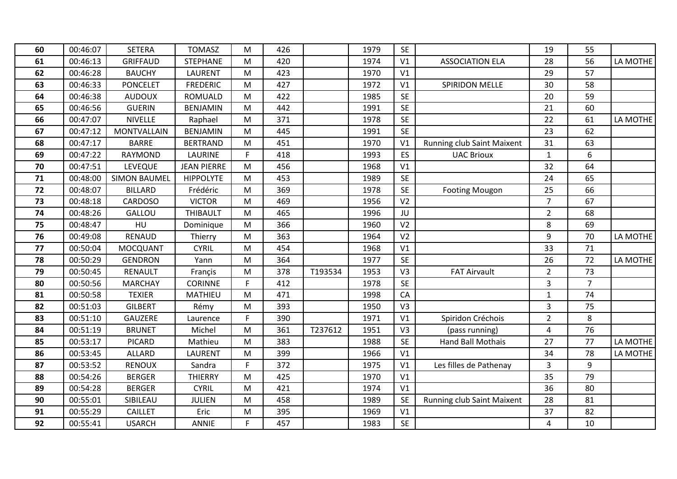| 60 | 00:46:07 | <b>SETERA</b>       | <b>TOMASZ</b>      | М         | 426 |         | 1979 | <b>SE</b>      |                                   | 19             | 55             |          |
|----|----------|---------------------|--------------------|-----------|-----|---------|------|----------------|-----------------------------------|----------------|----------------|----------|
| 61 | 00:46:13 | <b>GRIFFAUD</b>     | <b>STEPHANE</b>    | M         | 420 |         | 1974 | V <sub>1</sub> | <b>ASSOCIATION ELA</b>            | 28             | 56             | LA MOTHE |
| 62 | 00:46:28 | <b>BAUCHY</b>       | <b>LAURENT</b>     | M         | 423 |         | 1970 | V <sub>1</sub> |                                   | 29             | 57             |          |
| 63 | 00:46:33 | <b>PONCELET</b>     | <b>FREDERIC</b>    | M         | 427 |         | 1972 | V1             | <b>SPIRIDON MELLE</b>             | 30             | 58             |          |
| 64 | 00:46:38 | <b>AUDOUX</b>       | <b>ROMUALD</b>     | M         | 422 |         | 1985 | <b>SE</b>      |                                   | 20             | 59             |          |
| 65 | 00:46:56 | <b>GUERIN</b>       | <b>BENJAMIN</b>    | M         | 442 |         | 1991 | <b>SE</b>      |                                   | 21             | 60             |          |
| 66 | 00:47:07 | <b>NIVELLE</b>      | Raphael            | M         | 371 |         | 1978 | <b>SE</b>      |                                   | 22             | 61             | LA MOTHE |
| 67 | 00:47:12 | <b>MONTVALLAIN</b>  | <b>BENJAMIN</b>    | M         | 445 |         | 1991 | <b>SE</b>      |                                   | 23             | 62             |          |
| 68 | 00:47:17 | <b>BARRE</b>        | <b>BERTRAND</b>    | M         | 451 |         | 1970 | V <sub>1</sub> | <b>Running club Saint Maixent</b> | 31             | 63             |          |
| 69 | 00:47:22 | <b>RAYMOND</b>      | <b>LAURINE</b>     | F         | 418 |         | 1993 | ES             | <b>UAC Brioux</b>                 | $\mathbf{1}$   | 6              |          |
| 70 | 00:47:51 | LEVEQUE             | <b>JEAN PIERRE</b> | M         | 456 |         | 1968 | V <sub>1</sub> |                                   | 32             | 64             |          |
| 71 | 00:48:00 | <b>SIMON BAUMEL</b> | <b>HIPPOLYTE</b>   | M         | 453 |         | 1989 | <b>SE</b>      |                                   | 24             | 65             |          |
| 72 | 00:48:07 | <b>BILLARD</b>      | Frédéric           | M         | 369 |         | 1978 | <b>SE</b>      | <b>Footing Mougon</b>             | 25             | 66             |          |
| 73 | 00:48:18 | <b>CARDOSO</b>      | <b>VICTOR</b>      | M         | 469 |         | 1956 | V <sub>2</sub> |                                   | $\overline{7}$ | 67             |          |
| 74 | 00:48:26 | GALLOU              | <b>THIBAULT</b>    | M         | 465 |         | 1996 | JU             |                                   | $\overline{2}$ | 68             |          |
| 75 | 00:48:47 | HU                  | Dominique          | ${\sf M}$ | 366 |         | 1960 | V <sub>2</sub> |                                   | 8              | 69             |          |
| 76 | 00:49:08 | <b>RENAUD</b>       | Thierry            | M         | 363 |         | 1964 | V <sub>2</sub> |                                   | 9              | 70             | LA MOTHE |
| 77 | 00:50:04 | MOCQUANT            | <b>CYRIL</b>       | M         | 454 |         | 1968 | V1             |                                   | 33             | 71             |          |
| 78 | 00:50:29 | <b>GENDRON</b>      | Yann               | M         | 364 |         | 1977 | <b>SE</b>      |                                   | 26             | 72             | LA MOTHE |
| 79 | 00:50:45 | RENAULT             | Françis            | M         | 378 | T193534 | 1953 | V <sub>3</sub> | <b>FAT Airvault</b>               | $\overline{2}$ | 73             |          |
| 80 | 00:50:56 | <b>MARCHAY</b>      | <b>CORINNE</b>     | F.        | 412 |         | 1978 | <b>SE</b>      |                                   | 3              | $\overline{7}$ |          |
| 81 | 00:50:58 | <b>TEXIER</b>       | <b>MATHIEU</b>     | M         | 471 |         | 1998 | CA             |                                   | $\mathbf{1}$   | 74             |          |
| 82 | 00:51:03 | <b>GILBERT</b>      | Rémy               | M         | 393 |         | 1950 | V <sub>3</sub> |                                   | $\overline{3}$ | 75             |          |
| 83 | 00:51:10 | <b>GAUZERE</b>      | Laurence           | F         | 390 |         | 1971 | V <sub>1</sub> | Spiridon Créchois                 | $\overline{2}$ | 8              |          |
| 84 | 00:51:19 | <b>BRUNET</b>       | Michel             | M         | 361 | T237612 | 1951 | V <sub>3</sub> | (pass running)                    | $\overline{4}$ | 76             |          |
| 85 | 00:53:17 | <b>PICARD</b>       | Mathieu            | M         | 383 |         | 1988 | <b>SE</b>      | Hand Ball Mothais                 | 27             | 77             | LA MOTHE |
| 86 | 00:53:45 | <b>ALLARD</b>       | <b>LAURENT</b>     | M         | 399 |         | 1966 | V <sub>1</sub> |                                   | 34             | 78             | LA MOTHE |
| 87 | 00:53:52 | <b>RENOUX</b>       | Sandra             | F         | 372 |         | 1975 | V <sub>1</sub> | Les filles de Pathenay            | $\overline{3}$ | 9              |          |
| 88 | 00:54:26 | <b>BERGER</b>       | <b>THIERRY</b>     | M         | 425 |         | 1970 | V <sub>1</sub> |                                   | 35             | 79             |          |
| 89 | 00:54:28 | <b>BERGER</b>       | <b>CYRIL</b>       | M         | 421 |         | 1974 | V <sub>1</sub> |                                   | 36             | 80             |          |
| 90 | 00:55:01 | SIBILEAU            | <b>JULIEN</b>      | M         | 458 |         | 1989 | <b>SE</b>      | <b>Running club Saint Maixent</b> | 28             | 81             |          |
| 91 | 00:55:29 | <b>CAILLET</b>      | Eric               | M         | 395 |         | 1969 | V1             |                                   | 37             | 82             |          |
| 92 | 00:55:41 | <b>USARCH</b>       | ANNIE              | F.        | 457 |         | 1983 | <b>SE</b>      |                                   | 4              | 10             |          |